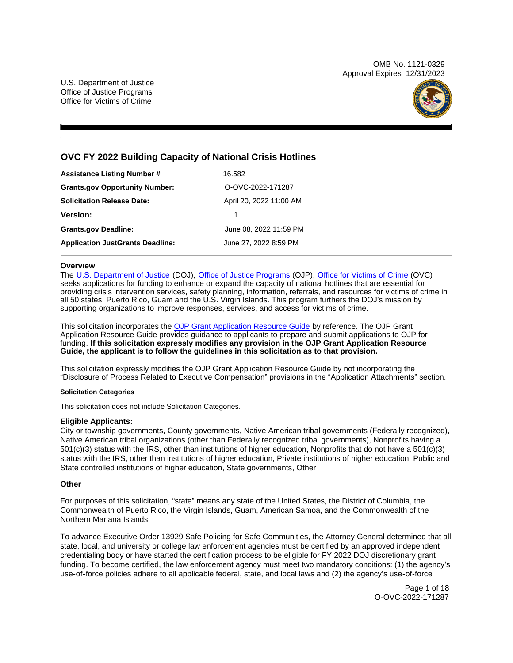OMB No. 1121-0329 Approval Expires 12/31/2023

U.S. Department of Justice Office of Justice Programs Office for Victims of Crime



# **OVC FY 2022 Building Capacity of National Crisis Hotlines**

| Assistance Listing Number #             | 16.582                  |
|-----------------------------------------|-------------------------|
| <b>Grants.gov Opportunity Number:</b>   | O-OVC-2022-171287       |
| Solicitation Release Date:              | April 20, 2022 11:00 AM |
| Version:                                | 1                       |
| <b>Grants.gov Deadline:</b>             | June 08, 2022 11:59 PM  |
| <b>Application JustGrants Deadline:</b> | June 27, 2022 8:59 PM   |

## **Overview**

The [U.S. Department of Justice](https://www.usdoj.gov/) (DOJ), [Office of Justice Programs](https://www.ojp.usdoj.gov/) (OJP), [Office for Victims of Crime](https://ovc.ojp.gov/) (OVC) seeks applications for funding to enhance or expand the capacity of national hotlines that are essential for providing crisis intervention services, safety planning, information, referrals, and resources for victims of crime in all 50 states, Puerto Rico, Guam and the U.S. Virgin Islands. This program furthers the DOJ's mission by supporting organizations to improve responses, services, and access for victims of crime.

This solicitation incorporates the [OJP Grant Application Resource Guide](https://www.ojp.gov/funding/Apply/Resources/Grant-App-Resource-Guide.htm) by reference. The OJP Grant Application Resource Guide provides guidance to applicants to prepare and submit applications to OJP for funding. **If this solicitation expressly modifies any provision in the OJP Grant Application Resource Guide, the applicant is to follow the guidelines in this solicitation as to that provision.** 

This solicitation expressly modifies the OJP Grant Application Resource Guide by not incorporating the "Disclosure of Process Related to Executive Compensation" provisions in the "Application Attachments" section.

## **Solicitation Categories**

This solicitation does not include Solicitation Categories.

## **Eligible Applicants:**

City or township governments, County governments, Native American tribal governments (Federally recognized), Native American tribal organizations (other than Federally recognized tribal governments), Nonprofits having a 501(c)(3) status with the IRS, other than institutions of higher education, Nonprofits that do not have a 501(c)(3) status with the IRS, other than institutions of higher education, Private institutions of higher education, Public and State controlled institutions of higher education, State governments, Other

## **Other**

For purposes of this solicitation, "state" means any state of the United States, the District of Columbia, the Commonwealth of Puerto Rico, the Virgin Islands, Guam, American Samoa, and the Commonwealth of the Northern Mariana Islands.

To advance Executive Order 13929 Safe Policing for Safe Communities, the Attorney General determined that all state, local, and university or college law enforcement agencies must be certified by an approved independent credentialing body or have started the certification process to be eligible for FY 2022 DOJ discretionary grant funding. To become certified, the law enforcement agency must meet two mandatory conditions: (1) the agency's use-of-force policies adhere to all applicable federal, state, and local laws and (2) the agency's use-of-force

> Page 1 of 18 O-OVC-2022-171287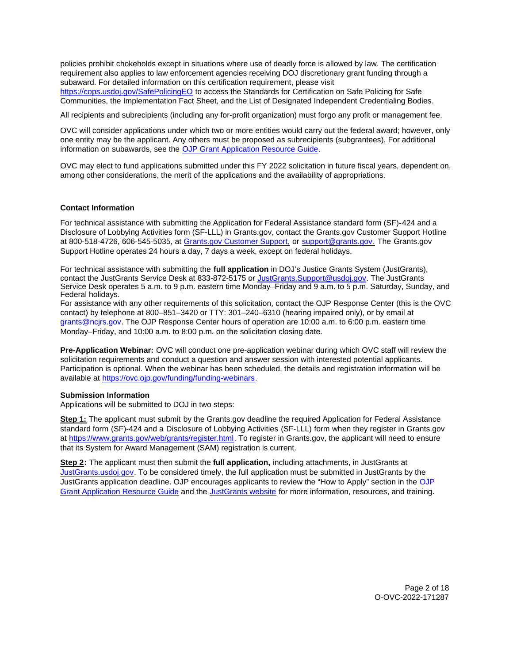<span id="page-1-0"></span>policies prohibit chokeholds except in situations where use of deadly force is allowed by law. The certification requirement also applies to law enforcement agencies receiving DOJ discretionary grant funding through a subaward. For detailed information on this certification requirement, please visit [https://cops.usdoj.gov/SafePolicingEO](https://cops.usdoj.gov/SafePolicingEO%20) to access the Standards for Certification on Safe Policing for Safe Communities, the Implementation Fact Sheet, and the List of Designated Independent Credentialing Bodies.

All recipients and subrecipients (including any for-profit organization) must forgo any profit or management fee.

OVC will consider applications under which two or more entities would carry out the federal award; however, only one entity may be the applicant. Any others must be proposed as subrecipients (subgrantees). For additional information on subawards, see the [OJP Grant Application Resource Guide.](https://www.ojp.gov/funding/Apply/Resources/Grant-App-Resource-Guide.htm)

OVC may elect to fund applications submitted under this FY 2022 solicitation in future fiscal years, dependent on, among other considerations, the merit of the applications and the availability of appropriations.

## **Contact Information**

For technical assistance with submitting the Application for Federal Assistance standard form (SF)**-**424 and a Disclosure of Lobbying Activities form (SF-LLL) in [Grants.gov](https://Grants.gov), contact the [Grants.gov](https://Grants.gov) Customer Support Hotline at 800-518-4726, 606-545-5035, at [Grants.gov Customer Support,](https://www.grants.gov/web/grants/support.html) or [support@grants.gov.](mailto:support@grants.gov) The [Grants.gov](https://Grants.gov)  Support Hotline operates 24 hours a day, 7 days a week, except on federal holidays.

For technical assistance with submitting the **full application** in DOJ's Justice Grants System (JustGrants), contact the JustGrants Service Desk at 833-872-5175 or [JustGrants.Support@usdoj.gov.](mailto:JustGrants.Support@usdoj.gov) The JustGrants Service Desk operates 5 a.m. to 9 p.m. eastern time Monday–Friday and 9 a.m. to 5 p.m. Saturday, Sunday, and Federal holidays.

For assistance with any other requirements of this solicitation, contact the OJP Response Center (this is the OVC contact) by telephone at 800–851–3420 or TTY: 301–240–6310 (hearing impaired only), or by email at [grants@ncjrs.gov.](mailto:grants@ncjrs.gov) The OJP Response Center hours of operation are 10:00 a.m. to 6:00 p.m. eastern time Monday–Friday, and 10:00 a.m. to 8:00 p.m. on the solicitation closing date.

**Pre-Application Webinar:** OVC will conduct one pre-application webinar during which OVC staff will review the solicitation requirements and conduct a question and answer session with interested potential applicants. Participation is optional. When the webinar has been scheduled, the details and registration information will be available at [https://ovc.ojp.gov/funding/funding-webinars.](https://ovc.ojp.gov/funding/funding-webinars)

## **Submission Information**

Applications will be submitted to DOJ in two steps:

**Step 1:** The applicant must submit by the [Grants.gov](https://Grants.gov) deadline the required Application for Federal Assistance standard form (SF)-424 and a Disclosure of Lobbying Activities (SF-LLL) form when they register in [Grants.gov](https://Grants.gov) at [https://www.grants.gov/web/grants/register.html.](https://www.grants.gov/web/grants/register.html) To register in [Grants.gov](https://Grants.gov), the applicant will need to ensure that its System for Award Management (SAM) registration is current.

**Step 2:** The applicant must then submit the **full application,** including attachments, in JustGrants at [JustGrants.usdoj.gov.](https://justicegrants.usdoj.gov/) To be considered timely, the full application must be submitted in JustGrants by the JustGrants application deadline. OJP encourages applicants to review the "How to Apply" section in the [OJP](https://www.ojp.gov/funding/apply/ojp-grant-application-resource-guide#apply)  [Grant Application Resource Guide](https://www.ojp.gov/funding/apply/ojp-grant-application-resource-guide#apply) and the [JustGrants website](https://justicegrants.usdoj.gov/news) for more information, resources, and training.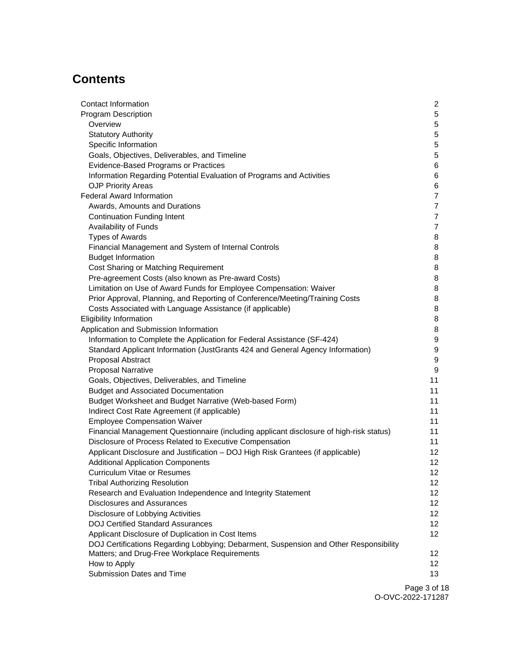# **Contents**

| Contact Information                                                                     | 2               |
|-----------------------------------------------------------------------------------------|-----------------|
| <b>Program Description</b>                                                              | 5               |
| Overview                                                                                | 5               |
| <b>Statutory Authority</b>                                                              | 5               |
| Specific Information                                                                    | 5               |
| Goals, Objectives, Deliverables, and Timeline                                           | 5               |
| <b>Evidence-Based Programs or Practices</b>                                             | 6               |
| Information Regarding Potential Evaluation of Programs and Activities                   | 6               |
| <b>OJP Priority Areas</b>                                                               | 6               |
| <b>Federal Award Information</b>                                                        | 7               |
| Awards, Amounts and Durations                                                           | 7               |
| <b>Continuation Funding Intent</b>                                                      | $\overline{7}$  |
| Availability of Funds                                                                   | $\overline{7}$  |
| <b>Types of Awards</b>                                                                  | 8               |
| Financial Management and System of Internal Controls                                    | 8               |
| <b>Budget Information</b>                                                               | 8               |
| Cost Sharing or Matching Requirement                                                    | 8               |
| Pre-agreement Costs (also known as Pre-award Costs)                                     | 8               |
| Limitation on Use of Award Funds for Employee Compensation: Waiver                      | 8               |
| Prior Approval, Planning, and Reporting of Conference/Meeting/Training Costs            | 8               |
| Costs Associated with Language Assistance (if applicable)                               | 8               |
| <b>Eligibility Information</b>                                                          | 8               |
| Application and Submission Information                                                  | 8               |
| Information to Complete the Application for Federal Assistance (SF-424)                 | 9               |
| Standard Applicant Information (JustGrants 424 and General Agency Information)          | 9               |
| Proposal Abstract                                                                       | 9               |
| <b>Proposal Narrative</b>                                                               | 9               |
| Goals, Objectives, Deliverables, and Timeline                                           | 11              |
| <b>Budget and Associated Documentation</b>                                              | 11              |
| Budget Worksheet and Budget Narrative (Web-based Form)                                  | 11              |
| Indirect Cost Rate Agreement (if applicable)                                            | 11              |
| <b>Employee Compensation Waiver</b>                                                     | 11              |
| Financial Management Questionnaire (including applicant disclosure of high-risk status) | 11              |
| Disclosure of Process Related to Executive Compensation                                 | 11              |
| Applicant Disclosure and Justification - DOJ High Risk Grantees (if applicable)         | 12              |
| <b>Additional Application Components</b>                                                | 12              |
| Curriculum Vitae or Resumes                                                             | 12              |
| <b>Tribal Authorizing Resolution</b>                                                    | 12              |
| Research and Evaluation Independence and Integrity Statement                            | 12              |
| <b>Disclosures and Assurances</b>                                                       | 12 <sup>2</sup> |
| Disclosure of Lobbying Activities                                                       | 12              |
| <b>DOJ Certified Standard Assurances</b>                                                | 12              |
| Applicant Disclosure of Duplication in Cost Items                                       | 12              |
| DOJ Certifications Regarding Lobbying; Debarment, Suspension and Other Responsibility   |                 |
| Matters; and Drug-Free Workplace Requirements                                           | 12 <sup>°</sup> |
| How to Apply                                                                            | 12              |
| Submission Dates and Time                                                               | 13              |
|                                                                                         | Page 3 of 1     |

Page 3 of 18 O-OVC-2022-171287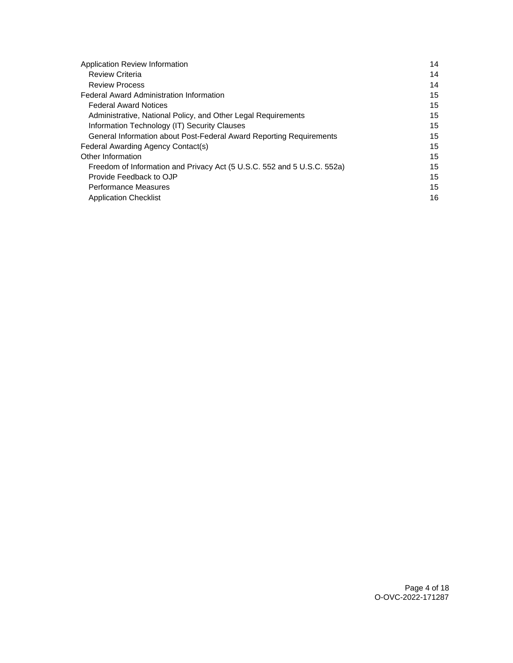| Application Review Information                                          | 14 |
|-------------------------------------------------------------------------|----|
| <b>Review Criteria</b>                                                  | 14 |
| <b>Review Process</b>                                                   | 14 |
| <b>Federal Award Administration Information</b>                         | 15 |
| <b>Federal Award Notices</b>                                            | 15 |
| Administrative, National Policy, and Other Legal Requirements           | 15 |
| Information Technology (IT) Security Clauses                            | 15 |
| General Information about Post-Federal Award Reporting Requirements     | 15 |
| Federal Awarding Agency Contact(s)                                      | 15 |
| Other Information                                                       | 15 |
| Freedom of Information and Privacy Act (5 U.S.C. 552 and 5 U.S.C. 552a) | 15 |
| Provide Feedback to OJP                                                 | 15 |
| <b>Performance Measures</b>                                             | 15 |
| <b>Application Checklist</b>                                            | 16 |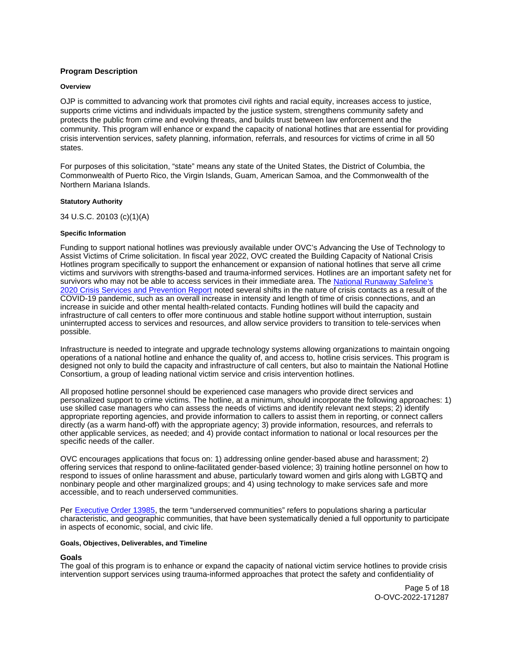# <span id="page-4-0"></span>**Program Description**

## **Overview**

OJP is committed to advancing work that promotes civil rights and racial equity, increases access to justice, supports crime victims and individuals impacted by the justice system, strengthens community safety and protects the public from crime and evolving threats, and builds trust between law enforcement and the community. This program will enhance or expand the capacity of national hotlines that are essential for providing crisis intervention services, safety planning, information, referrals, and resources for victims of crime in all 50 states.

For purposes of this solicitation, "state" means any state of the United States, the District of Columbia, the Commonwealth of Puerto Rico, the Virgin Islands, Guam, American Samoa, and the Commonwealth of the Northern Mariana Islands.

## **Statutory Authority**

34 U.S.C. 20103 (c)(1)(A)

## **Specific Information**

Funding to support national hotlines was previously available under OVC's Advancing the Use of Technology to Assist Victims of Crime solicitation. In fiscal year 2022, OVC created the Building Capacity of National Crisis Hotlines program specifically to support the enhancement or expansion of national hotlines that serve all crime victims and survivors with strengths-based and trauma-informed services. Hotlines are an important safety net for survivors who may not be able to access services in their immediate area. The National Runaway Safeline's [2020 Crisis Services and Prevention Report](https://www.1800runaway.org/wp-content/uploads/2021/09/2020-Crisis-Services-and-Prevention-Report-FINAL.pdf) noted several shifts in the nature of crisis contacts as a result of the COVID-19 pandemic, such as an overall increase in intensity and length of time of crisis connections, and an increase in suicide and other mental health-related contacts. Funding hotlines will build the capacity and infrastructure of call centers to offer more continuous and stable hotline support without interruption, sustain uninterrupted access to services and resources, and allow service providers to transition to tele-services when possible.

Infrastructure is needed to integrate and upgrade technology systems allowing organizations to maintain ongoing operations of a national hotline and enhance the quality of, and access to, hotline crisis services. This program is designed not only to build the capacity and infrastructure of call centers, but also to maintain the National Hotline Consortium, a group of leading national victim service and crisis intervention hotlines.

All proposed hotline personnel should be experienced case managers who provide direct services and personalized support to crime victims. The hotline, at a minimum, should incorporate the following approaches: 1) use skilled case managers who can assess the needs of victims and identify relevant next steps; 2) identify appropriate reporting agencies, and provide information to callers to assist them in reporting, or connect callers directly (as a warm hand-off) with the appropriate agency; 3) provide information, resources, and referrals to other applicable services, as needed; and 4) provide contact information to national or local resources per the specific needs of the caller.

OVC encourages applications that focus on: 1) addressing online gender-based abuse and harassment; 2) offering services that respond to online-facilitated gender-based violence; 3) training hotline personnel on how to respond to issues of online harassment and abuse, particularly toward women and girls along with LGBTQ and nonbinary people and other marginalized groups; and 4) using technology to make services safe and more accessible, and to reach underserved communities.

Per [Executive Order 13985,](https://www.whitehouse.gov/briefing-room/presidential-actions/2021/01/20/executive-order-advancing-racial-equity-and-support-for-underserved-communities-through-the-federal-government/) the term "underserved communities" refers to populations sharing a particular characteristic, and geographic communities, that have been systematically denied a full opportunity to participate in aspects of economic, social, and civic life.

## **Goals, Objectives, Deliverables, and Timeline**

## **Goals**

The goal of this program is to enhance or expand the capacity of national victim service hotlines to provide crisis intervention support services using trauma-informed approaches that protect the safety and confidentiality of

> Page 5 of 18 O-OVC-2022-171287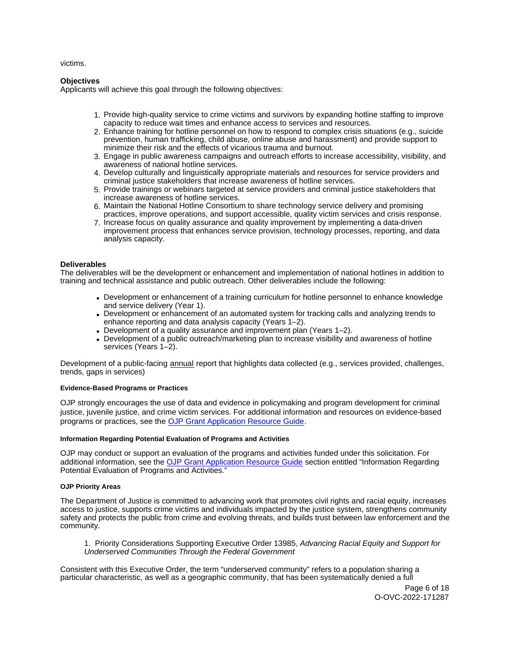<span id="page-5-0"></span>victims.

# **Objectives**

Applicants will achieve this goal through the following objectives:

- 1. Provide high-quality service to crime victims and survivors by expanding hotline staffing to improve capacity to reduce wait times and enhance access to services and resources.
- 2. Enhance training for hotline personnel on how to respond to complex crisis situations (e.g., suicide prevention, human trafficking, child abuse, online abuse and harassment) and provide support to minimize their risk and the effects of vicarious trauma and burnout.
- 3. Engage in public awareness campaigns and outreach efforts to increase accessibility, visibility, and awareness of national hotline services.
- 4. Develop culturally and linguistically appropriate materials and resources for service providers and criminal justice stakeholders that increase awareness of hotline services.
- 5. Provide trainings or webinars targeted at service providers and criminal justice stakeholders that increase awareness of hotline services.
- 6. Maintain the National Hotline Consortium to share technology service delivery and promising practices, improve operations, and support accessible, quality victim services and crisis response.
- 7. Increase focus on quality assurance and quality improvement by implementing a data-driven improvement process that enhances service provision, technology processes, reporting, and data analysis capacity.

## **Deliverables**

The deliverables will be the development or enhancement and implementation of national hotlines in addition to training and technical assistance and public outreach. Other deliverables include the following:

- Development or enhancement of a training curriculum for hotline personnel to enhance knowledge and service delivery (Year 1).
- Development or enhancement of an automated system for tracking calls and analyzing trends to enhance reporting and data analysis capacity (Years 1–2).
- Development of a quality assurance and improvement plan (Years 1–2).
- Development of a public outreach/marketing plan to increase visibility and awareness of hotline services (Years 1–2).

Development of a public-facing annual report that highlights data collected (e.g., services provided, challenges, trends, gaps in services)

## **Evidence-Based Programs or Practices**

OJP strongly encourages the use of data and evidence in policymaking and program development for criminal justice, juvenile justice, and crime victim services. For additional information and resources on evidence-based programs or practices, see the [OJP Grant Application Resource Guide.](https://www.ojp.gov/funding/apply/ojp-grant-application-resource-guide#evidence-based)

## **Information Regarding Potential Evaluation of Programs and Activities**

OJP may conduct or support an evaluation of the programs and activities funded under this solicitation. For additional information, see the [OJP Grant Application Resource Guide](https://www.ojp.gov/funding/apply/ojp-grant-application-resource-guide#potential-evaluation) section entitled "Information Regarding Potential Evaluation of Programs and Activities."

## **OJP Priority Areas**

The Department of Justice is committed to advancing work that promotes civil rights and racial equity, increases access to justice, supports crime victims and individuals impacted by the justice system, strengthens community safety and protects the public from crime and evolving threats, and builds trust between law enforcement and the community.

1. Priority Considerations Supporting Executive Order 13985, Advancing Racial Equity and Support for Underserved Communities Through the Federal Government

Consistent with this Executive Order, the term "underserved community" refers to a population sharing a particular characteristic, as well as a geographic community, that has been systematically denied a full

> Page 6 of 18 O-OVC-2022-171287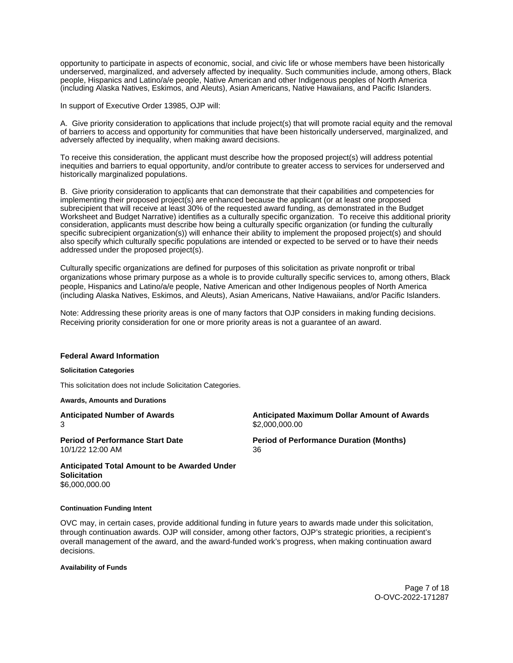<span id="page-6-0"></span>opportunity to participate in aspects of economic, social, and civic life or whose members have been historically underserved, marginalized, and adversely affected by inequality. Such communities include, among others, Black people, Hispanics and Latino/a/e people, Native American and other Indigenous peoples of North America (including Alaska Natives, Eskimos, and Aleuts), Asian Americans, Native Hawaiians, and Pacific Islanders.

In support of Executive Order 13985, OJP will:

A. Give priority consideration to applications that include project(s) that will promote racial equity and the removal of barriers to access and opportunity for communities that have been historically underserved, marginalized, and adversely affected by inequality, when making award decisions.

To receive this consideration, the applicant must describe how the proposed project(s) will address potential inequities and barriers to equal opportunity, and/or contribute to greater access to services for underserved and historically marginalized populations.

B. Give priority consideration to applicants that can demonstrate that their capabilities and competencies for implementing their proposed project(s) are enhanced because the applicant (or at least one proposed subrecipient that will receive at least 30% of the requested award funding, as demonstrated in the Budget Worksheet and Budget Narrative) identifies as a culturally specific organization. To receive this additional priority consideration, applicants must describe how being a culturally specific organization (or funding the culturally specific subrecipient organization(s)) will enhance their ability to implement the proposed project(s) and should also specify which culturally specific populations are intended or expected to be served or to have their needs addressed under the proposed project(s).

Culturally specific organizations are defined for purposes of this solicitation as private nonprofit or tribal organizations whose primary purpose as a whole is to provide culturally specific services to, among others, Black people, Hispanics and Latino/a/e people, Native American and other Indigenous peoples of North America (including Alaska Natives, Eskimos, and Aleuts), Asian Americans, Native Hawaiians, and/or Pacific Islanders.

Note: Addressing these priority areas is one of many factors that OJP considers in making funding decisions. Receiving priority consideration for one or more priority areas is not a guarantee of an award.

## **Federal Award Information**

#### **Solicitation Categories**

This solicitation does not include Solicitation Categories.

**Awards, Amounts and Durations** 

**Anticipated Number of Awards Anticipated Maximum Dollar Amount of Awards**  3 \$[2,000,000.00](https://2,000,000.00)

10/1/22 12:00 AM 36

**Period of Performance Start Date**  Period of Performance Duration (Months)

**Anticipated Total Amount to be Awarded Under Solicitation**  [\\$6,000,000.00](https://6,000,000.00) 

#### **Continuation Funding Intent**

OVC may, in certain cases, provide additional funding in future years to awards made under this solicitation, through continuation awards. OJP will consider, among other factors, OJP's strategic priorities, a recipient's overall management of the award, and the award-funded work's progress, when making continuation award decisions.

**Availability of Funds** 

Page 7 of 18 O-OVC-2022-171287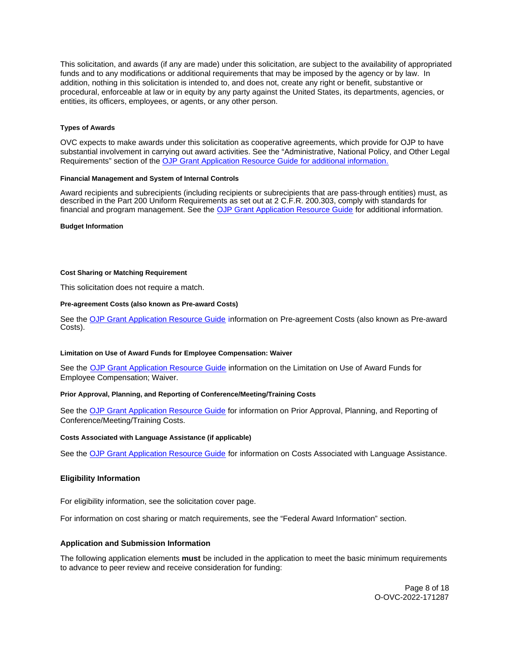<span id="page-7-0"></span>This solicitation, and awards (if any are made) under this solicitation, are subject to the availability of appropriated funds and to any modifications or additional requirements that may be imposed by the agency or by law. In addition, nothing in this solicitation is intended to, and does not, create any right or benefit, substantive or procedural, enforceable at law or in equity by any party against the United States, its departments, agencies, or entities, its officers, employees, or agents, or any other person.

## **Types of Awards**

OVC expects to make awards under this solicitation as cooperative agreements, which provide for OJP to have substantial involvement in carrying out award activities. See the "Administrative, National Policy, and Other Legal Requirements" section of the [OJP Grant Application Resource Guide](https://ojp.gov/funding/Apply/Resources/Grant-App-Resource-Guide.htm) for additional information.

## **Financial Management and System of Internal Controls**

Award recipients and subrecipients (including recipients or subrecipients that are pass-through entities) must, as described in the Part 200 Uniform Requirements as set out at 2 C.F.R. 200.303, comply with standards for financial and program management. See the [OJP Grant Application Resource Guide](https://www.ojp.gov/funding/apply/ojp-grant-application-resource-guide#fm-internal-controls) for additional information.

## **Budget Information**

## **Cost Sharing or Matching Requirement**

This solicitation does not require a match.

## **Pre-agreement Costs (also known as Pre-award Costs)**

See the [OJP Grant Application Resource Guide](https://www.ojp.gov/funding/apply/ojp-grant-application-resource-guide#pre-agreement-costs) information on Pre-agreement Costs (also known as Pre-award Costs).

## **Limitation on Use of Award Funds for Employee Compensation: Waiver**

See the [OJP Grant Application Resource Guide](https://www.ojp.gov/funding/apply/ojp-grant-application-resource-guide#limitation-use-award) information on the Limitation on Use of Award Funds for Employee Compensation; Waiver.

## **Prior Approval, Planning, and Reporting of Conference/Meeting/Training Costs**

See the [OJP Grant Application Resource Guide](https://www.ojp.gov/funding/apply/ojp-grant-application-resource-guide#prior-approval) for information on Prior Approval, Planning, and Reporting of Conference/Meeting/Training Costs.

## **Costs Associated with Language Assistance (if applicable)**

See the [OJP Grant Application Resource Guide](https://www.ojp.gov/funding/apply/ojp-grant-application-resource-guide#costs-associated) for information on Costs Associated with Language Assistance.

## **Eligibility Information**

For eligibility information, see the solicitation cover page.

For information on cost sharing or match requirements, see the "Federal Award Information" section.

## **Application and Submission Information**

The following application elements **must** be included in the application to meet the basic minimum requirements to advance to peer review and receive consideration for funding:

> Page 8 of 18 O-OVC-2022-171287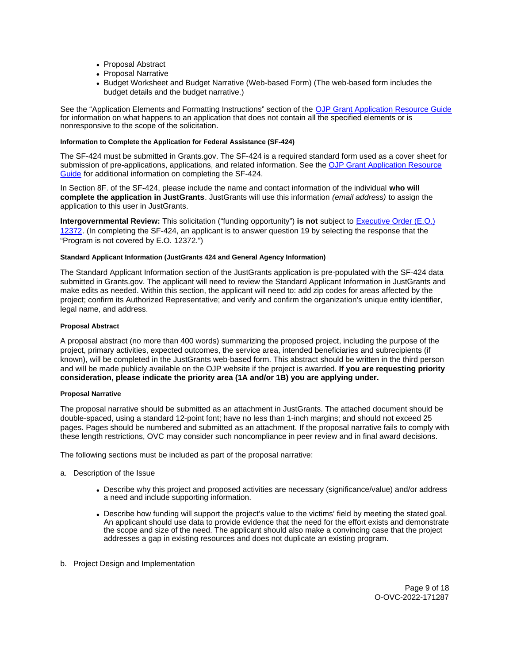- <span id="page-8-0"></span>• Proposal Abstract
- Proposal Narrative
- Budget Worksheet and Budget Narrative (Web-based Form) (The web-based form includes the budget details and the budget narrative.)

See the "Application Elements and Formatting Instructions" section of the [OJP Grant Application Resource Guide](https://www.ojp.gov/funding/apply/ojp-grant-application-resource-guide#application-elements)  for information on what happens to an application that does not contain all the specified elements or is nonresponsive to the scope of the solicitation.

## **Information to Complete the Application for Federal Assistance (SF-424)**

The SF-424 must be submitted in [Grants.gov](https://Grants.gov). The SF-424 is a required standard form used as a cover sheet for submission of pre-applications, applications, and related information. See the [OJP Grant Application Resource](https://www.ojp.gov/funding/apply/ojp-grant-application-resource-guide#complete-application)  [Guide](https://www.ojp.gov/funding/apply/ojp-grant-application-resource-guide#complete-application) for additional information on completing the SF-424.

In Section 8F. of the SF-424, please include the name and contact information of the individual **who will complete the application in JustGrants**. JustGrants will use this information (email address) to assign the application to this user in JustGrants.

**Intergovernmental Review:** This solicitation ("funding opportunity") **is not** subject to [Executive Order \(E.O.\)](https://www.archives.gov/federal-register/codification/executive-order/12372.html)  [12372.](https://www.archives.gov/federal-register/codification/executive-order/12372.html) (In completing the SF-424, an applicant is to answer question 19 by selecting the response that the "Program is not covered by E.O. 12372.")

## **Standard Applicant Information (JustGrants 424 and General Agency Information)**

The Standard Applicant Information section of the JustGrants application is pre-populated with the SF-424 data submitted in [Grants.gov.](https://Grants.gov) The applicant will need to review the Standard Applicant Information in JustGrants and make edits as needed. Within this section, the applicant will need to: add zip codes for areas affected by the project; confirm its Authorized Representative; and verify and confirm the organization's unique entity identifier, legal name, and address.

## **Proposal Abstract**

A proposal abstract (no more than 400 words) summarizing the proposed project, including the purpose of the project, primary activities, expected outcomes, the service area, intended beneficiaries and subrecipients (if known), will be completed in the JustGrants web-based form. This abstract should be written in the third person and will be made publicly available on the OJP website if the project is awarded. **If you are requesting priority consideration, please indicate the priority area (1A and/or 1B) you are applying under.** 

## **Proposal Narrative**

The proposal narrative should be submitted as an attachment in JustGrants. The attached document should be double-spaced, using a standard 12-point font; have no less than 1-inch margins; and should not exceed 25 pages. Pages should be numbered and submitted as an attachment. If the proposal narrative fails to comply with these length restrictions, OVC may consider such noncompliance in peer review and in final award decisions.

The following sections must be included as part of the proposal narrative:

- a. Description of the Issue
	- Describe why this project and proposed activities are necessary (significance/value) and/or address a need and include supporting information.
	- Describe how funding will support the project's value to the victims' field by meeting the stated goal. An applicant should use data to provide evidence that the need for the effort exists and demonstrate the scope and size of the need. The applicant should also make a convincing case that the project addresses a gap in existing resources and does not duplicate an existing program.
- b. Project Design and Implementation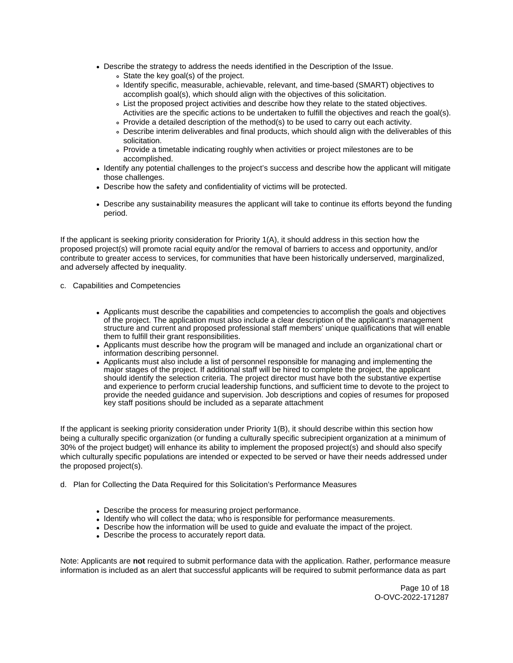- Describe the strategy to address the needs identified in the Description of the Issue.
	- State the key goal(s) of the project.
	- Identify specific, measurable, achievable, relevant, and time-based (SMART) objectives to accomplish goal(s), which should align with the objectives of this solicitation.
	- List the proposed project activities and describe how they relate to the stated objectives. Activities are the specific actions to be undertaken to fulfill the objectives and reach the goal(s).
	- Provide a detailed description of the method(s) to be used to carry out each activity.
	- Describe interim deliverables and final products, which should align with the deliverables of this solicitation.
	- Provide a timetable indicating roughly when activities or project milestones are to be accomplished.
- Identify any potential challenges to the project's success and describe how the applicant will mitigate those challenges.
- Describe how the safety and confidentiality of victims will be protected.
- Describe any sustainability measures the applicant will take to continue its efforts beyond the funding period.

If the applicant is seeking priority consideration for Priority 1(A), it should address in this section how the proposed project(s) will promote racial equity and/or the removal of barriers to access and opportunity, and/or contribute to greater access to services, for communities that have been historically underserved, marginalized, and adversely affected by inequality.

- c. Capabilities and Competencies
	- Applicants must describe the capabilities and competencies to accomplish the goals and objectives of the project. The application must also include a clear description of the applicant's management structure and current and proposed professional staff members' unique qualifications that will enable them to fulfill their grant responsibilities.
	- Applicants must describe how the program will be managed and include an organizational chart or information describing personnel.
	- Applicants must also include a list of personnel responsible for managing and implementing the major stages of the project. If additional staff will be hired to complete the project, the applicant should identify the selection criteria. The project director must have both the substantive expertise and experience to perform crucial leadership functions, and sufficient time to devote to the project to provide the needed guidance and supervision. Job descriptions and copies of resumes for proposed key staff positions should be included as a separate attachment

If the applicant is seeking priority consideration under Priority 1(B), it should describe within this section how being a culturally specific organization (or funding a culturally specific subrecipient organization at a minimum of 30% of the project budget) will enhance its ability to implement the proposed project(s) and should also specify which culturally specific populations are intended or expected to be served or have their needs addressed under the proposed project(s).

- d. Plan for Collecting the Data Required for this Solicitation's Performance Measures
	- Describe the process for measuring project performance.
	- Identify who will collect the data; who is responsible for performance measurements.
	- Describe how the information will be used to guide and evaluate the impact of the project.
	- Describe the process to accurately report data.

Note: Applicants are **not** required to submit performance data with the application. Rather, performance measure information is included as an alert that successful applicants will be required to submit performance data as part

> Page 10 of 18 O-OVC-2022-171287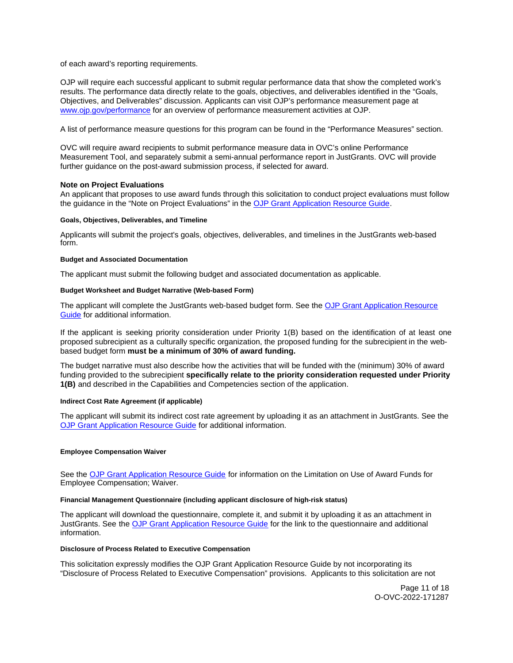<span id="page-10-0"></span>of each award's reporting requirements.

OJP will require each successful applicant to submit regular performance data that show the completed work's results. The performance data directly relate to the goals, objectives, and deliverables identified in the "Goals, Objectives, and Deliverables" discussion. Applicants can visit OJP's performance measurement page at [www.ojp.gov/performance](https://www.ojp.gov/performance) for an overview of performance measurement activities at OJP.

A list of performance measure questions for this program can be found in the "Performance Measures" section.

OVC will require award recipients to submit performance measure data in OVC's online Performance Measurement Tool, and separately submit a semi-annual performance report in JustGrants. OVC will provide further guidance on the post-award submission process, if selected for award.

## **Note on Project Evaluations**

An applicant that proposes to use award funds through this solicitation to conduct project evaluations must follow the guidance in the "Note on Project Evaluations" in the [OJP Grant Application Resource Guide.](https://www.ojp.gov/funding/Apply/Resources/Grant-App-Resource-Guide.htm)

## **Goals, Objectives, Deliverables, and Timeline**

Applicants will submit the project's goals, objectives, deliverables, and timelines in the JustGrants web-based form.

## **Budget and Associated Documentation**

The applicant must submit the following budget and associated documentation as applicable.

## **Budget Worksheet and Budget Narrative (Web-based Form)**

The applicant will complete the JustGrants web-based budget form. See the [OJP Grant Application Resource](https://www.ojp.gov/funding/apply/ojp-grant-application-resource-guide#budget-prep)  [Guide](https://www.ojp.gov/funding/apply/ojp-grant-application-resource-guide#budget-prep) for additional information.

If the applicant is seeking priority consideration under Priority 1(B) based on the identification of at least one proposed subrecipient as a culturally specific organization, the proposed funding for the subrecipient in the webbased budget form **must be a minimum of 30% of award funding.** 

The budget narrative must also describe how the activities that will be funded with the (minimum) 30% of award funding provided to the subrecipient **specifically relate to the priority consideration requested under Priority 1(B)** and described in the Capabilities and Competencies section of the application.

#### **Indirect Cost Rate Agreement (if applicable)**

The applicant will submit its indirect cost rate agreement by uploading it as an attachment in JustGrants. See the [OJP Grant Application Resource Guide](https://www.ojp.gov/funding/apply/ojp-grant-application-resource-guide#indirect-cost) for additional information.

## **Employee Compensation Waiver**

See the [OJP Grant Application Resource Guide](https://www.ojp.gov/funding/apply/ojp-grant-application-resource-guide#limitation-use-award) for information on the Limitation on Use of Award Funds for Employee Compensation; Waiver.

## **Financial Management Questionnaire (including applicant disclosure of high-risk status)**

The applicant will download the questionnaire, complete it, and submit it by uploading it as an attachment in JustGrants. See the [OJP Grant Application Resource Guide](https://www.ojp.gov/funding/apply/ojp-grant-application-resource-guide#fm-internal-controls-questionnaire) for the link to the questionnaire and additional information.

#### **Disclosure of Process Related to Executive Compensation**

This solicitation expressly modifies the OJP Grant Application Resource Guide by not incorporating its "Disclosure of Process Related to Executive Compensation" provisions. Applicants to this solicitation are not

> Page 11 of 18 O-OVC-2022-171287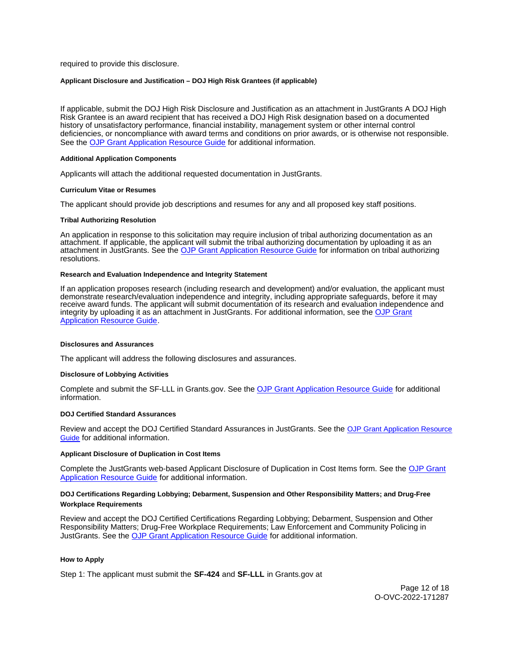<span id="page-11-0"></span>required to provide this disclosure.

## **Applicant Disclosure and Justification – DOJ High Risk Grantees (if applicable)**

If applicable, submit the DOJ High Risk Disclosure and Justification as an attachment in JustGrants A DOJ High Risk Grantee is an award recipient that has received a DOJ High Risk designation based on a documented history of unsatisfactory performance, financial instability, management system or other internal control deficiencies, or noncompliance with award terms and conditions on prior awards, or is otherwise not responsible. See the [OJP Grant Application Resource Guide](https://www.ojp.gov/funding/apply/ojp-grant-application-resource-guide) for additional information.

#### **Additional Application Components**

Applicants will attach the additional requested documentation in JustGrants.

#### **Curriculum Vitae or Resumes**

The applicant should provide job descriptions and resumes for any and all proposed key staff positions.

#### **Tribal Authorizing Resolution**

An application in response to this solicitation may require inclusion of tribal authorizing documentation as an attachment. If applicable, the applicant will submit the tribal authorizing documentation by uploading it as an attachment in JustGrants. See the [OJP Grant Application Resource Guide](https://www.ojp.gov/funding/apply/ojp-grant-application-resource-guide#tribal-authorizing-resolution) for information on tribal authorizing resolutions.

#### **Research and Evaluation Independence and Integrity Statement**

If an application proposes research (including research and development) and/or evaluation, the applicant must demonstrate research/evaluation independence and integrity, including appropriate safeguards, before it may receive award funds. The applicant will submit documentation of its research and evaluation independence and integrity by uploading it as an attachment in JustGrants. For additional information, see the OJP Grant [Application Resource Guide.](https://www.ojp.gov/funding/apply/ojp-grant-application-resource-guide#research-evaluation)

#### **Disclosures and Assurances**

The applicant will address the following disclosures and assurances.

#### **Disclosure of Lobbying Activities**

Complete and submit the SF-LLL in [Grants.gov.](https://Grants.gov) See the [OJP Grant Application Resource Guide](https://www.ojp.gov/funding/apply/ojp-grant-application-resource-guide#disclosure-lobby) for additional information.

## **DOJ Certified Standard Assurances**

Review and accept the DOJ Certified Standard Assurances in JustGrants. See the [OJP Grant Application Resource](https://www.ojp.gov/funding/apply/ojp-grant-application-resource-guide#administrative)  [Guide](https://www.ojp.gov/funding/apply/ojp-grant-application-resource-guide#administrative) for additional information.

## **Applicant Disclosure of Duplication in Cost Items**

Complete the JustGrants web-based Applicant Disclosure of Duplication in Cost Items form. See the [OJP Grant](https://www.ojp.gov/funding/apply/ojp-grant-application-resource-guide#applicant-disclosure-pending-applications)  [Application Resource Guide](https://www.ojp.gov/funding/apply/ojp-grant-application-resource-guide#applicant-disclosure-pending-applications) for additional information.

## **DOJ Certifications Regarding Lobbying; Debarment, Suspension and Other Responsibility Matters; and Drug-Free Workplace Requirements**

Review and accept the DOJ Certified Certifications Regarding Lobbying; Debarment, Suspension and Other Responsibility Matters; Drug-Free Workplace Requirements; Law Enforcement and Community Policing in JustGrants. See the [OJP Grant Application Resource Guide](https://www.ojp.gov/funding/apply/ojp-grant-application-resource-guide#administrative) for additional information.

## **How to Apply**

Step 1: The applicant must submit the **SF-424** and **SF-LLL** in [Grants.gov](https://Grants.gov) at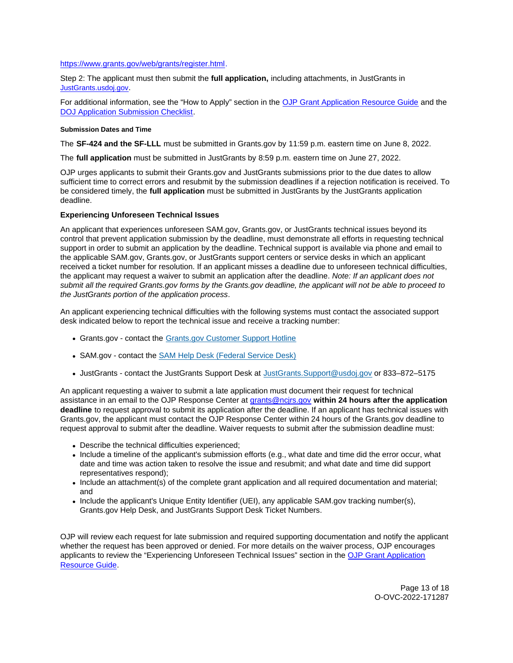## <span id="page-12-0"></span>[https://www.grants.gov/web/grants/register.html.](https://www.grants.gov/web/grants/register.html)

Step 2: The applicant must then submit the **full application,** including attachments, in JustGrants in [JustGrants.usdoj.gov.](https://justicegrants.usdoj.gov/)

For additional information, see the "How to Apply" section in the [OJP Grant Application Resource Guide](https://www.ojp.gov/funding/apply/ojp-grant-application-resource-guide#apply) and the [DOJ Application Submission Checklist.](https://justicegrants.usdoj.gov/sites/g/files/xyckuh296/files/media/document/appln-submission-checklist.pdf)

## **Submission Dates and Time**

The **SF-424 and the SF-LLL** must be submitted in [Grants.gov](https://Grants.gov) by 11:59 p.m. eastern time on June 8, 2022.

The **full application** must be submitted in JustGrants by 8:59 p.m. eastern time on June 27, 2022.

OJP urges applicants to submit their [Grants.gov](https://Grants.gov) and JustGrants submissions prior to the due dates to allow sufficient time to correct errors and resubmit by the submission deadlines if a rejection notification is received. To be considered timely, the **full application** must be submitted in JustGrants by the JustGrants application deadline.

## **Experiencing Unforeseen Technical Issues**

An applicant that experiences unforeseen SAM.gov, [Grants.gov,](https://Grants.gov) or JustGrants technical issues beyond its control that prevent application submission by the deadline, must demonstrate all efforts in requesting technical support in order to submit an application by the deadline. Technical support is available via phone and email to the applicable SAM.gov, [Grants.gov,](https://Grants.gov) or JustGrants support centers or service desks in which an applicant received a ticket number for resolution. If an applicant misses a deadline due to unforeseen technical difficulties, the applicant may request a waiver to submit an application after the deadline. Note: If an applicant does not submit all the required [Grants.gov](https://Grants.gov) forms by the [Grants.gov](https://Grants.gov) deadline, the applicant will not be able to proceed to the JustGrants portion of the application process.

An applicant experiencing technical difficulties with the following systems must contact the associated support desk indicated below to report the technical issue and receive a tracking number:

- [Grants.gov](https://Grants.gov) contact the Grants.gov Customer Support Hotline
- SAM.gov contact the [SAM Help Desk \(Federal Service Desk\)](https://www.fsd.gov/gsafsd_sp)
- JustGrants contact the JustGrants Support Desk at [JustGrants.Support@usdoj.gov](mailto:JustGrants.Support@usdoj.gov) or 833–872–5175

An applicant requesting a waiver to submit a late application must document their request for technical assistance in an email to the OJP Response Center at [grants@ncjrs.gov](file:///C:/Users/local_Yehj/INetCache/Content.Outlook/20U4XBR7/grants@ncjrs.gov) **within 24 hours after the application deadline** to request approval to submit its application after the deadline. If an applicant has technical issues with [Grants.gov,](https://Grants.gov) the applicant must contact the OJP Response Center within 24 hours of the [Grants.gov](https://Grants.gov) deadline to request approval to submit after the deadline. Waiver requests to submit after the submission deadline must:

- Describe the technical difficulties experienced;
- Include a timeline of the applicant's submission efforts (e.g., what date and time did the error occur, what date and time was action taken to resolve the issue and resubmit; and what date and time did support representatives respond);
- Include an attachment(s) of the complete grant application and all required documentation and material; and
- Include the applicant's Unique Entity Identifier (UEI), any applicable SAM.gov tracking number(s), [Grants.gov](https://Grants.gov) Help Desk, and JustGrants Support Desk Ticket Numbers.

OJP will review each request for late submission and required supporting documentation and notify the applicant whether the request has been approved or denied. For more details on the waiver process, OJP encourages applicants to review the "Experiencing Unforeseen Technical Issues" section in the [OJP Grant Application](https://www.ojp.gov/funding/apply/ojp-grant-application-resource-guide#experiencing-unforeseen-technical-issues)  [Resource Guide.](https://www.ojp.gov/funding/apply/ojp-grant-application-resource-guide#experiencing-unforeseen-technical-issues)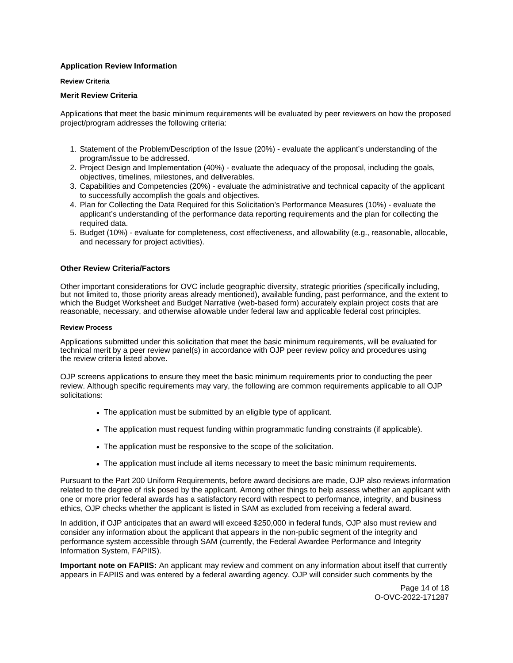## <span id="page-13-0"></span>**Application Review Information**

## **Review Criteria**

## **Merit Review Criteria**

Applications that meet the basic minimum requirements will be evaluated by peer reviewers on how the proposed project/program addresses the following criteria:

- 1. Statement of the Problem/Description of the Issue (20%) evaluate the applicant's understanding of the program/issue to be addressed.
- 2. Project Design and Implementation (40%) evaluate the adequacy of the proposal, including the goals, objectives, timelines, milestones, and deliverables.
- 3. Capabilities and Competencies (20%) evaluate the administrative and technical capacity of the applicant to successfully accomplish the goals and objectives.
- 4. Plan for Collecting the Data Required for this Solicitation's Performance Measures (10%) evaluate the applicant's understanding of the performance data reporting requirements and the plan for collecting the required data.
- 5. Budget (10%) evaluate for completeness, cost effectiveness, and allowability (e.g., reasonable, allocable, and necessary for project activities).

## **Other Review Criteria/Factors**

Other important considerations for OVC include geographic diversity, strategic priorities (specifically including, but not limited to, those priority areas already mentioned), available funding, past performance, and the extent to which the Budget Worksheet and Budget Narrative (web-based form) accurately explain project costs that are reasonable, necessary, and otherwise allowable under federal law and applicable federal cost principles.

## **Review Process**

Applications submitted under this solicitation that meet the basic minimum requirements, will be evaluated for technical merit by a peer review panel(s) in accordance with OJP peer review policy and procedures using the review criteria listed above.

OJP screens applications to ensure they meet the basic minimum requirements prior to conducting the peer review. Although specific requirements may vary, the following are common requirements applicable to all OJP solicitations:

- The application must be submitted by an eligible type of applicant.
- The application must request funding within programmatic funding constraints (if applicable).
- The application must be responsive to the scope of the solicitation.
- The application must include all items necessary to meet the basic minimum requirements.

Pursuant to the Part 200 Uniform Requirements, before award decisions are made, OJP also reviews information related to the degree of risk posed by the applicant. Among other things to help assess whether an applicant with one or more prior federal awards has a satisfactory record with respect to performance, integrity, and business ethics, OJP checks whether the applicant is listed in SAM as excluded from receiving a federal award.

In addition, if OJP anticipates that an award will exceed \$250,000 in federal funds, OJP also must review and consider any information about the applicant that appears in the non-public segment of the integrity and performance system accessible through SAM (currently, the Federal Awardee Performance and Integrity Information System, FAPIIS).

**Important note on FAPIIS:** An applicant may review and comment on any information about itself that currently appears in FAPIIS and was entered by a federal awarding agency. OJP will consider such comments by the

> Page 14 of 18 O-OVC-2022-171287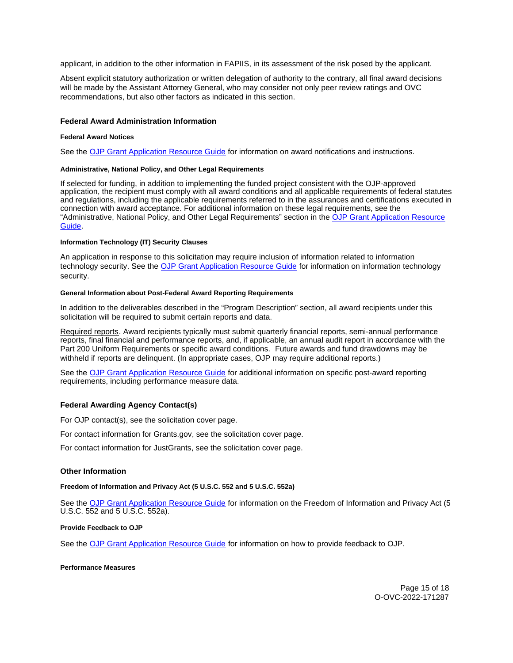<span id="page-14-0"></span>applicant, in addition to the other information in FAPIIS, in its assessment of the risk posed by the applicant.

Absent explicit statutory authorization or written delegation of authority to the contrary, all final award decisions will be made by the Assistant Attorney General, who may consider not only peer review ratings and OVC recommendations, but also other factors as indicated in this section.

## **Federal Award Administration Information**

## **Federal Award Notices**

See the [OJP Grant Application Resource Guide](https://www.ojp.gov/funding/apply/ojp-grant-application-resource-guide#federal-award-notices) for information on award notifications and instructions.

## **Administrative, National Policy, and Other Legal Requirements**

If selected for funding, in addition to implementing the funded project consistent with the OJP-approved application, the recipient must comply with all award conditions and all applicable requirements of federal statutes and regulations, including the applicable requirements referred to in the assurances and certifications executed in connection with award acceptance. For additional information on these legal requirements, see the "Administrative, National Policy, and Other Legal Requirements" section in the [OJP Grant Application Resource](https://www.ojp.gov/funding/apply/ojp-grant-application-resource-guide#administrative)  [Guide.](https://www.ojp.gov/funding/apply/ojp-grant-application-resource-guide#administrative)

#### **Information Technology (IT) Security Clauses**

An application in response to this solicitation may require inclusion of information related to information technology security. See the [OJP Grant Application Resource Guide](https://www.ojp.gov/funding/apply/ojp-grant-application-resource-guide#information-technology) for information on information technology security.

#### **General Information about Post-Federal Award Reporting Requirements**

In addition to the deliverables described in the "Program Description" section, all award recipients under this solicitation will be required to submit certain reports and data.

Required reports. Award recipients typically must submit quarterly financial reports, semi-annual performance reports, final financial and performance reports, and, if applicable, an annual audit report in accordance with the Part 200 Uniform Requirements or specific award conditions. Future awards and fund drawdowns may be withheld if reports are delinquent. (In appropriate cases, OJP may require additional reports.)

See the [OJP Grant Application Resource Guide](https://www.ojp.gov/funding/apply/ojp-grant-application-resource-guide#general-information) for additional information on specific post-award reporting requirements, including performance measure data.

## **Federal Awarding Agency Contact(s)**

For OJP contact(s), see the solicitation cover page.

For contact information for [Grants.gov](https://Grants.gov), see the solicitation cover page.

For contact information for JustGrants, see the solicitation cover page.

## **Other Information**

**Freedom of Information and Privacy Act (5 U.S.C. 552 and 5 U.S.C. 552a)** 

See the [OJP Grant Application Resource Guide](https://www.ojp.gov/funding/apply/ojp-grant-application-resource-guide#foia) for information on the Freedom of Information and Privacy Act (5 U.S.C. 552 and 5 U.S.C. 552a).

## **Provide Feedback to OJP**

See the [OJP Grant Application Resource Guide](https://www.ojp.gov/funding/apply/ojp-grant-application-resource-guide#feedback) for information on how to provide feedback to OJP.

#### **Performance Measures**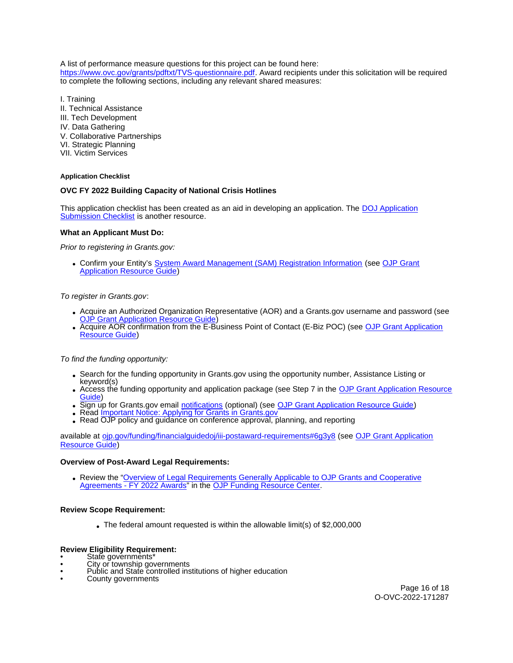<span id="page-15-0"></span>A list of performance measure questions for this project can be found here: [https://www.ovc.gov/grants/pdftxt/TVS-questionnaire.pdf.](https://www.ovc.gov/grants/pdftxt/TVS-questionnaire.pdf) Award recipients under this solicitation will be required to complete the following sections, including any relevant shared measures:

I. Training

- II. Technical Assistance
- III. Tech Development
- IV. Data Gathering
- V. Collaborative Partnerships
- VI. Strategic Planning
- VII. Victim Services

# **Application Checklist**

# **OVC FY 2022 Building Capacity of National Crisis Hotlines**

This application checklist has been created as an aid in developing an application. The [DOJ Application](https://justicegrants.usdoj.gov/sites/g/files/xyckuh296/files/media/document/appln-submission-checklist.pdf)  [Submission Checklist](https://justicegrants.usdoj.gov/sites/g/files/xyckuh296/files/media/document/appln-submission-checklist.pdf) is another resource.

# **What an Applicant Must Do:**

Prior to registering in [Grants.gov](https://Grants.gov):

Confirm your Entity's [System Award Management \(SAM\)](https://sam.gov/SAM/) Registration Information (see [OJP Grant](https://www.ojp.gov/funding/apply/ojp-grant-application-resource-guide#apply)  [Application Resource Guide\)](https://www.ojp.gov/funding/apply/ojp-grant-application-resource-guide#apply)

# To register in [Grants.gov](https://Grants.gov):

- Acquire an Authorized Organization Representative (AOR) and a [Grants.gov](https://Grants.gov) username and password (see [OJP Grant Application Resource Guide\)](https://www.ojp.gov/funding/apply/ojp-grant-application-resource-guide#apply)
- Acquire AOR confirmation from the E-Business Point of Contact (E-Biz POC) (see OJP Grant Application [Resource Guide\)](https://www.ojp.gov/funding/apply/ojp-grant-application-resource-guide#apply)

To find the funding opportunity:

- Search for the funding opportunity in [Grants.gov](https://Grants.gov) using the opportunity number, Assistance Listing or keyword(s)
- Access the funding opportunity and application package (see Step 7 in the [OJP Grant Application Resource](https://www.ojp.gov/funding/apply/ojp-grant-application-resource-guide#apply)  [Guide\)](https://www.ojp.gov/funding/apply/ojp-grant-application-resource-guide#apply)
- Sign up for [Grants.gov](https://Grants.gov) email [notifications](https://www.grants.gov/web/grants/manage-subscriptions.html) (optional) (see [OJP Grant Application Resource Guide\)](https://www.ojp.gov/funding/apply/ojp-grant-application-resource-guide#apply)
- Read Important Notice: Applying for Grants in Grants.gov
- Read OJP policy and quidance on conference approval, planning, and reporting

available at [ojp.gov/funding/financialguidedoj/iii-postaward-requirements#6g3y8](https://www.ojp.gov/funding/financialguidedoj/iii-postaward-requirements#6g3y8) (see [OJP Grant Application](https://www.ojp.gov/funding/apply/ojp-grant-application-resource-guide#prior-approval)  [Resource Guide\)](https://www.ojp.gov/funding/apply/ojp-grant-application-resource-guide#prior-approval)

## **Overview of Post-Award Legal Requirements:**

Review the ["Overview of Legal Requirements Generally Applicable to OJP Grants and Cooperative](https://www.ojp.gov/funding/explore/legal-overview-awards)  [Agreements - FY 2022 Awards"](https://www.ojp.gov/funding/explore/legal-overview-awards) in the [OJP Funding Resource Center.](https://www.ojp.gov/funding/explore/legal-overview-awards)

## **Review Scope Requirement:**

The federal amount requested is within the allowable limit(s) of \$2,000,000

# **Review Eligibility Requirement:**<br>
• State governments<sup>\*</sup>

- 
- State governments\* City or township governments
- Public and State controlled institutions of higher education County governments
-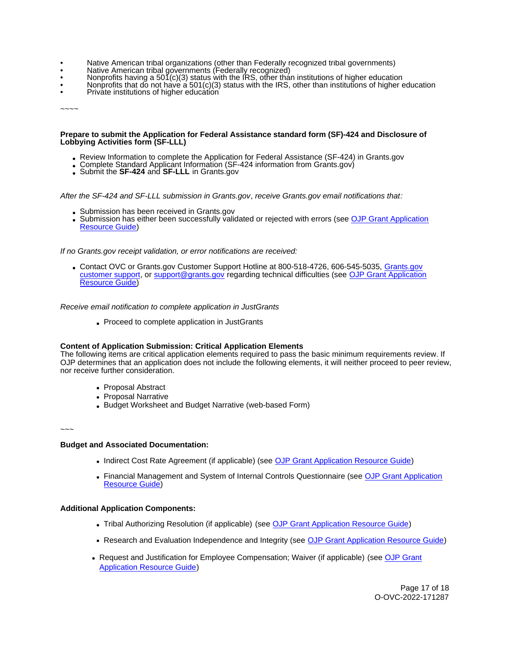- Native American tribal organizations (other than Federally recognized tribal governments)
- 
- 
- Mative American tribal governments (Federally recognized)<br>• Nonprofits having a 501(c)(3) status with the IRS, other than institutions of higher education<br>• Private institutions of higher education<br>• Private institutions
- 

 $\sim\sim\sim\sim$ 

#### **Prepare to submit the Application for Federal Assistance standard form (SF)-424 and Disclosure of Lobbying Activities form (SF-LLL)**

- Review Information to complete the Application for Federal Assistance (SF-424) in [Grants.gov](https://Grants.gov)<br>• Complete Standard Applicant Information (SF-424 information from Grants.gov)<br>• Submit the SF-424 and SF-LLL in Grants.gov
- 
- 

After the SF-424 and SF-LLL submission in [Grants.gov](https://Grants.gov), receive [Grants.gov](https://Grants.gov) email notifications that:

- Submission has been received in [Grants.gov](https://Grants.gov)
- Submission has either been successfully validated or rejected with errors (see OJP Grant Application [Resource Guide\)](https://www.ojp.gov/funding/apply/ojp-grant-application-resource-guide#apply)

If no [Grants.gov](https://Grants.gov) receipt validation, or error notifications are received:

Contact OVC or [Grants.gov](https://Grants.gov) Customer Support Hotline at 800-518-4726, 606-545-5035, [Grants.gov](https://www.grants.gov/web/grants/support.html)  [customer support,](https://www.grants.gov/web/grants/support.html) or [support@grants.gov](mailto:support@grants.gov) regarding technical difficulties (see OJP Grant Application [Resource Guide\)](https://www.ojp.gov/funding/apply/ojp-grant-application-resource-guide#apply)

Receive email notification to complete application in JustGrants

Proceed to complete application in JustGrants

## **Content of Application Submission: Critical Application Elements**

The following items are critical application elements required to pass the basic minimum requirements review. If OJP determines that an application does not include the following elements, it will neither proceed to peer review, nor receive further consideration.

- Proposal Abstract
- Proposal Narrative
- Budget Worksheet and Budget Narrative (web-based Form)

 $\sim$  ~~

# **Budget and Associated Documentation:**

- Indirect Cost Rate Agreement (if applicable) (see [OJP Grant Application Resource Guide\)](https://ojp.gov/funding/Apply/Resources/Grant-App-Resource-Guide.htm)
- Financial Management and System of Internal Controls Questionnaire (see OJP Grant Application [Resource Guide\)](https://ojp.gov/funding/Apply/Resources/Grant-App-Resource-Guide.htm)

## **Additional Application Components:**

- Tribal Authorizing Resolution (if applicable) (see [OJP Grant Application Resource Guide\)](https://ojp.gov/funding/Apply/Resources/Grant-App-Resource-Guide.htm)
- Research and Evaluation Independence and Integrity (see [OJP Grant Application Resource Guide\)](https://ojp.gov/funding/Apply/Resources/Grant-App-Resource-Guide.htm)
- Request and Justification for Employee Compensation; Waiver (if applicable) (see **OJP Grant** [Application Resource Guide\)](https://www.ojp.gov/funding/apply/ojp-grant-application-resource-guide#limitation-use-award)